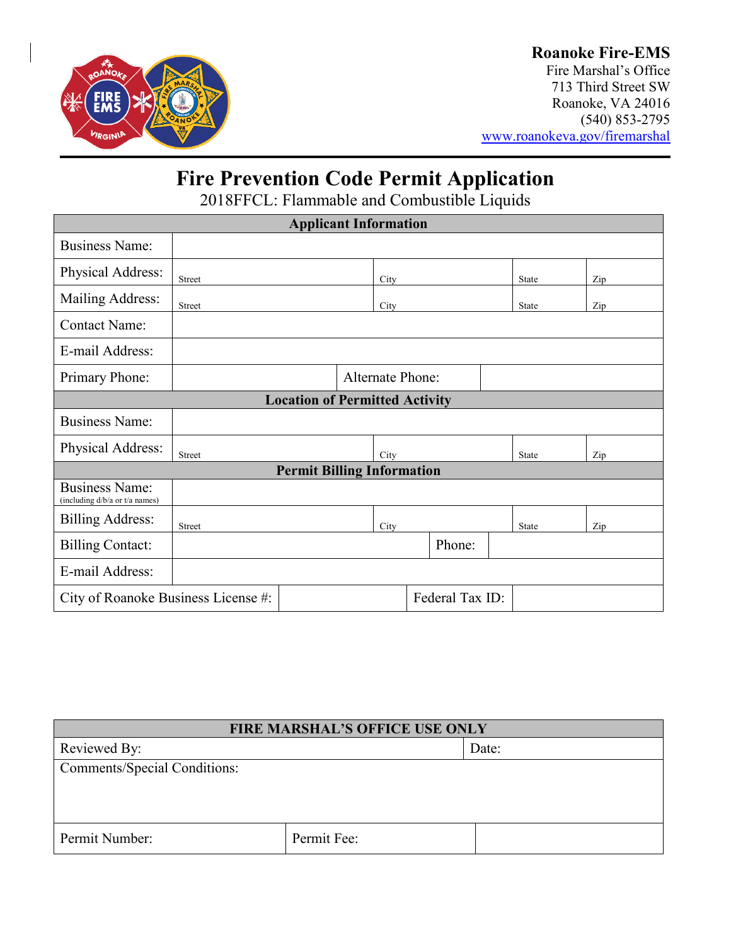

## **Roanoke Fire-EMS**

Fire Marshal's Office 713 Third Street SW Roanoke, VA 24016 (540) 853-2795 [www.roanokeva.gov/firemarshal](http://www.roanokeva.gov/firemarshal)

# **Fire Prevention Code Permit Application**

2018FFCL: Flammable and Combustible Liquids

| <b>Applicant Information</b>                            |               |  |                         |        |  |       |              |     |     |  |
|---------------------------------------------------------|---------------|--|-------------------------|--------|--|-------|--------------|-----|-----|--|
| <b>Business Name:</b>                                   |               |  |                         |        |  |       |              |     |     |  |
| Physical Address:                                       | <b>Street</b> |  |                         | City   |  |       | <b>State</b> |     | Zip |  |
| Mailing Address:                                        | Street        |  |                         | City   |  |       | State        |     | Zip |  |
| <b>Contact Name:</b>                                    |               |  |                         |        |  |       |              |     |     |  |
| E-mail Address:                                         |               |  |                         |        |  |       |              |     |     |  |
| Primary Phone:                                          |               |  | <b>Alternate Phone:</b> |        |  |       |              |     |     |  |
| <b>Location of Permitted Activity</b>                   |               |  |                         |        |  |       |              |     |     |  |
| <b>Business Name:</b>                                   |               |  |                         |        |  |       |              |     |     |  |
| Physical Address:                                       | Street        |  |                         | City   |  | State |              | Zip |     |  |
| <b>Permit Billing Information</b>                       |               |  |                         |        |  |       |              |     |     |  |
| <b>Business Name:</b><br>(including d/b/a or t/a names) |               |  |                         |        |  |       |              |     |     |  |
| <b>Billing Address:</b>                                 | <b>Street</b> |  |                         | City   |  |       | State        |     | Zip |  |
| <b>Billing Contact:</b>                                 |               |  |                         | Phone: |  |       |              |     |     |  |
| E-mail Address:                                         |               |  |                         |        |  |       |              |     |     |  |
| Federal Tax ID:<br>City of Roanoke Business License #:  |               |  |                         |        |  |       |              |     |     |  |

| <b>FIRE MARSHAL'S OFFICE USE ONLY</b> |             |       |  |  |
|---------------------------------------|-------------|-------|--|--|
| Reviewed By:                          |             | Date: |  |  |
| <b>Comments/Special Conditions:</b>   |             |       |  |  |
|                                       |             |       |  |  |
|                                       |             |       |  |  |
| Permit Number:                        | Permit Fee: |       |  |  |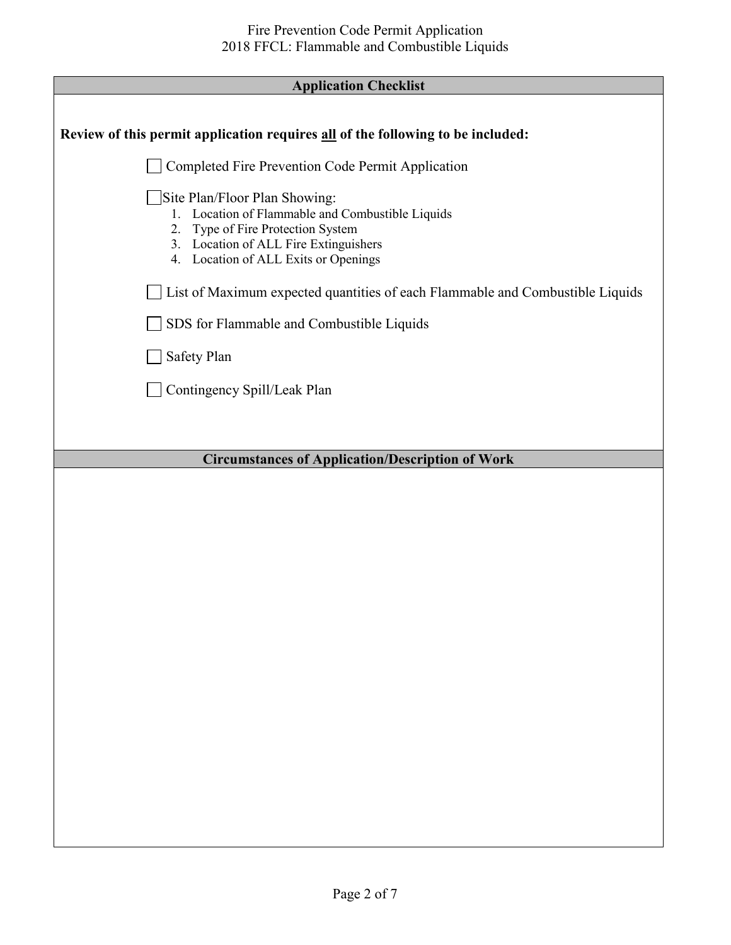| <b>Application Checklist</b>                                                                                                                                                                               |  |
|------------------------------------------------------------------------------------------------------------------------------------------------------------------------------------------------------------|--|
|                                                                                                                                                                                                            |  |
| Review of this permit application requires all of the following to be included:                                                                                                                            |  |
| Completed Fire Prevention Code Permit Application                                                                                                                                                          |  |
| Site Plan/Floor Plan Showing:<br>1. Location of Flammable and Combustible Liquids<br>Type of Fire Protection System<br>2.<br>3. Location of ALL Fire Extinguishers<br>4. Location of ALL Exits or Openings |  |
| List of Maximum expected quantities of each Flammable and Combustible Liquids                                                                                                                              |  |
| SDS for Flammable and Combustible Liquids                                                                                                                                                                  |  |
| Safety Plan                                                                                                                                                                                                |  |
| Contingency Spill/Leak Plan                                                                                                                                                                                |  |
|                                                                                                                                                                                                            |  |
| <b>Circumstances of Application/Description of Work</b>                                                                                                                                                    |  |
|                                                                                                                                                                                                            |  |
|                                                                                                                                                                                                            |  |
|                                                                                                                                                                                                            |  |
|                                                                                                                                                                                                            |  |
|                                                                                                                                                                                                            |  |
|                                                                                                                                                                                                            |  |
|                                                                                                                                                                                                            |  |
|                                                                                                                                                                                                            |  |
|                                                                                                                                                                                                            |  |
|                                                                                                                                                                                                            |  |
|                                                                                                                                                                                                            |  |
|                                                                                                                                                                                                            |  |
|                                                                                                                                                                                                            |  |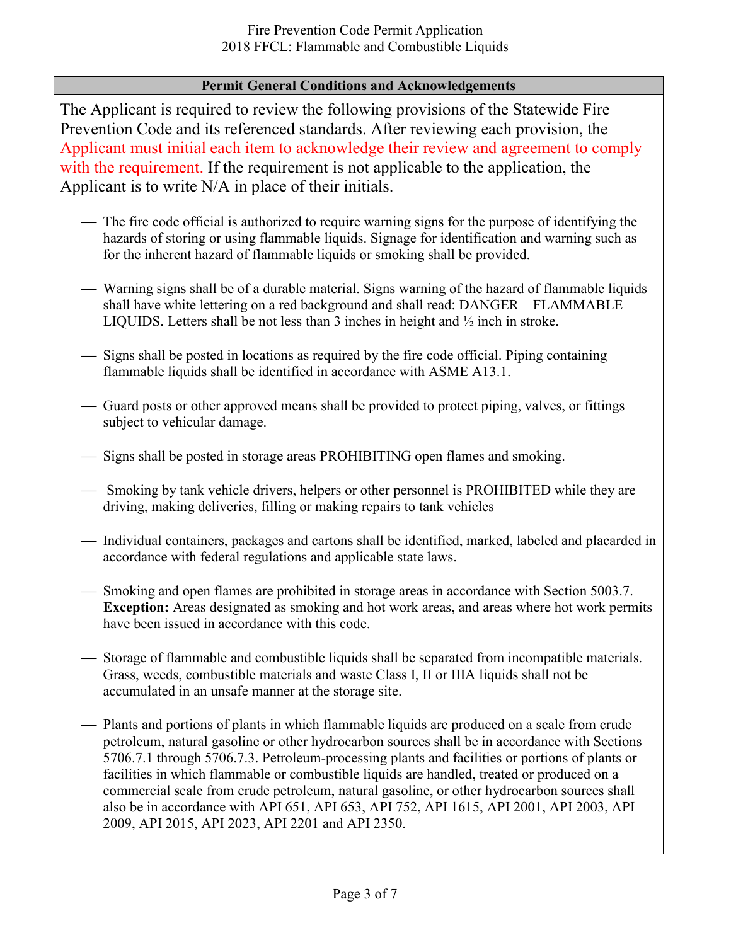### **Permit General Conditions and Acknowledgements**

The Applicant is required to review the following provisions of the Statewide Fire Prevention Code and its referenced standards. After reviewing each provision, the Applicant must initial each item to acknowledge their review and agreement to comply with the requirement. If the requirement is not applicable to the application, the Applicant is to write N/A in place of their initials.

- The fire code official is authorized to require warning signs for the purpose of identifying the hazards of storing or using flammable liquids. Signage for identification and warning such as for the inherent hazard of flammable liquids or smoking shall be provided.
- Warning signs shall be of a durable material. Signs warning of the hazard of flammable liquids shall have white lettering on a red background and shall read: DANGER—FLAMMABLE LIQUIDS. Letters shall be not less than 3 inches in height and ½ inch in stroke.
- Signs shall be posted in locations as required by the fire code official. Piping containing flammable liquids shall be identified in accordance with ASME A13.1.
- Guard posts or other approved means shall be provided to protect piping, valves, or fittings subject to vehicular damage.
- $-$  Signs shall be posted in storage areas PROHIBITING open flames and smoking.
- Smoking by tank vehicle drivers, helpers or other personnel is PROHIBITED while they are driving, making deliveries, filling or making repairs to tank vehicles
- Individual containers, packages and cartons shall be identified, marked, labeled and placarded in accordance with federal regulations and applicable state laws.
- Smoking and open flames are prohibited in storage areas in accordance with Section 5003.7. **Exception:** Areas designated as smoking and hot work areas, and areas where hot work permits have been issued in accordance with this code.
- $-$  Storage of flammable and combustible liquids shall be separated from incompatible materials. Grass, weeds, combustible materials and waste Class I, II or IIIA liquids shall not be accumulated in an unsafe manner at the storage site.
- Plants and portions of plants in which flammable liquids are produced on a scale from crude petroleum, natural gasoline or other hydrocarbon sources shall be in accordance with Sections 5706.7.1 through 5706.7.3. Petroleum-processing plants and facilities or portions of plants or facilities in which flammable or combustible liquids are handled, treated or produced on a commercial scale from crude petroleum, natural gasoline, or other hydrocarbon sources shall also be in accordance with API 651, API 653, API 752, API 1615, API 2001, API 2003, API 2009, API 2015, API 2023, API 2201 and API 2350.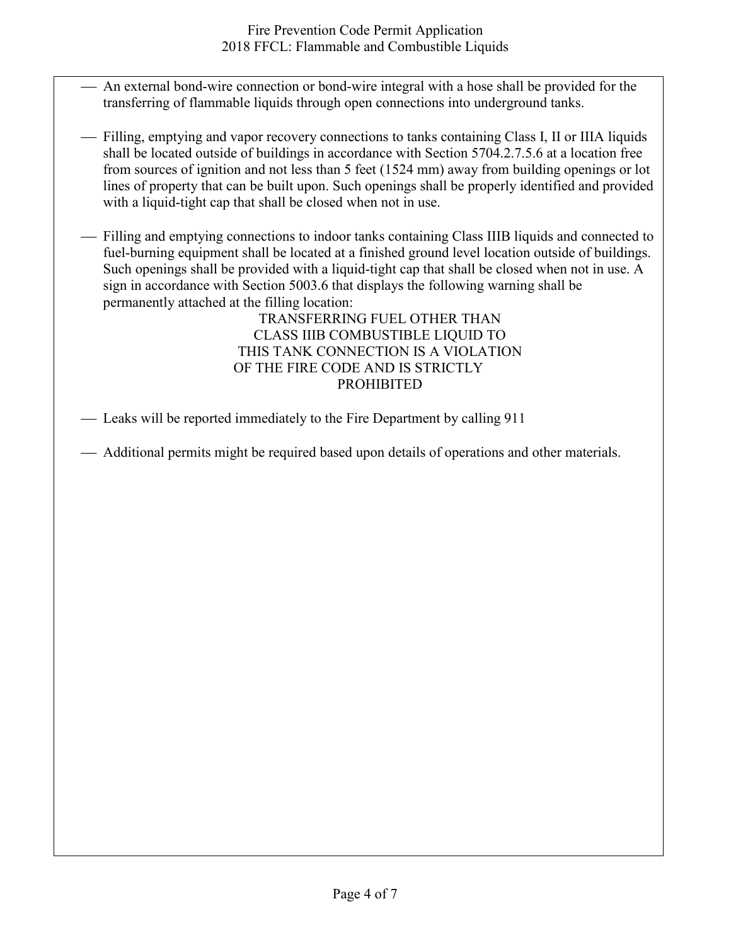- An external bond-wire connection or bond-wire integral with a hose shall be provided for the transferring of flammable liquids through open connections into underground tanks.
- Filling, emptying and vapor recovery connections to tanks containing Class I, II or IIIA liquids shall be located outside of buildings in accordance with Section 5704.2.7.5.6 at a location free from sources of ignition and not less than 5 feet (1524 mm) away from building openings or lot lines of property that can be built upon. Such openings shall be properly identified and provided with a liquid-tight cap that shall be closed when not in use.

 Filling and emptying connections to indoor tanks containing Class IIIB liquids and connected to fuel-burning equipment shall be located at a finished ground level location outside of buildings. Such openings shall be provided with a liquid-tight cap that shall be closed when not in use. A sign in accordance with Section 5003.6 that displays the following warning shall be permanently attached at the filling location:

TRANSFERRING FUEL OTHER THAN CLASS IIIB COMBUSTIBLE LIQUID TO THIS TANK CONNECTION IS A VIOLATION OF THE FIRE CODE AND IS STRICTLY PROHIBITED

Leaks will be reported immediately to the Fire Department by calling 911

Additional permits might be required based upon details of operations and other materials.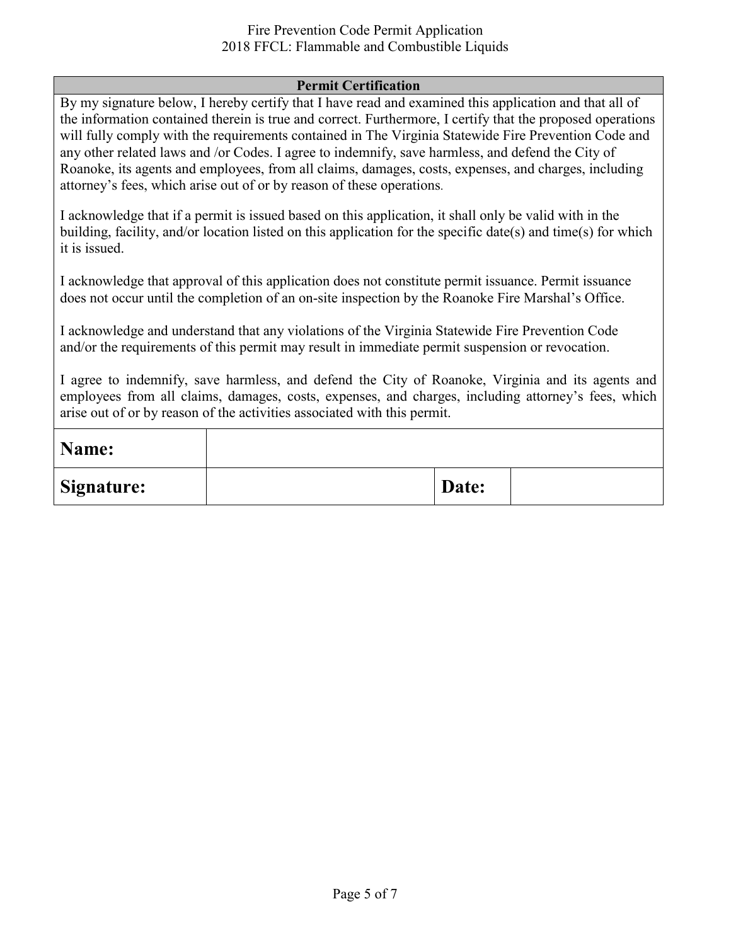#### Fire Prevention Code Permit Application 2018 FFCL: Flammable and Combustible Liquids

#### **Permit Certification**

By my signature below, I hereby certify that I have read and examined this application and that all of the information contained therein is true and correct. Furthermore, I certify that the proposed operations will fully comply with the requirements contained in The Virginia Statewide Fire Prevention Code and any other related laws and /or Codes. I agree to indemnify, save harmless, and defend the City of Roanoke, its agents and employees, from all claims, damages, costs, expenses, and charges, including attorney's fees, which arise out of or by reason of these operations.

I acknowledge that if a permit is issued based on this application, it shall only be valid with in the building, facility, and/or location listed on this application for the specific date(s) and time(s) for which it is issued.

I acknowledge that approval of this application does not constitute permit issuance. Permit issuance does not occur until the completion of an on-site inspection by the Roanoke Fire Marshal's Office.

I acknowledge and understand that any violations of the Virginia Statewide Fire Prevention Code and/or the requirements of this permit may result in immediate permit suspension or revocation.

I agree to indemnify, save harmless, and defend the City of Roanoke, Virginia and its agents and employees from all claims, damages, costs, expenses, and charges, including attorney's fees, which arise out of or by reason of the activities associated with this permit.

| Name:      |       |  |
|------------|-------|--|
| Signature: | Date: |  |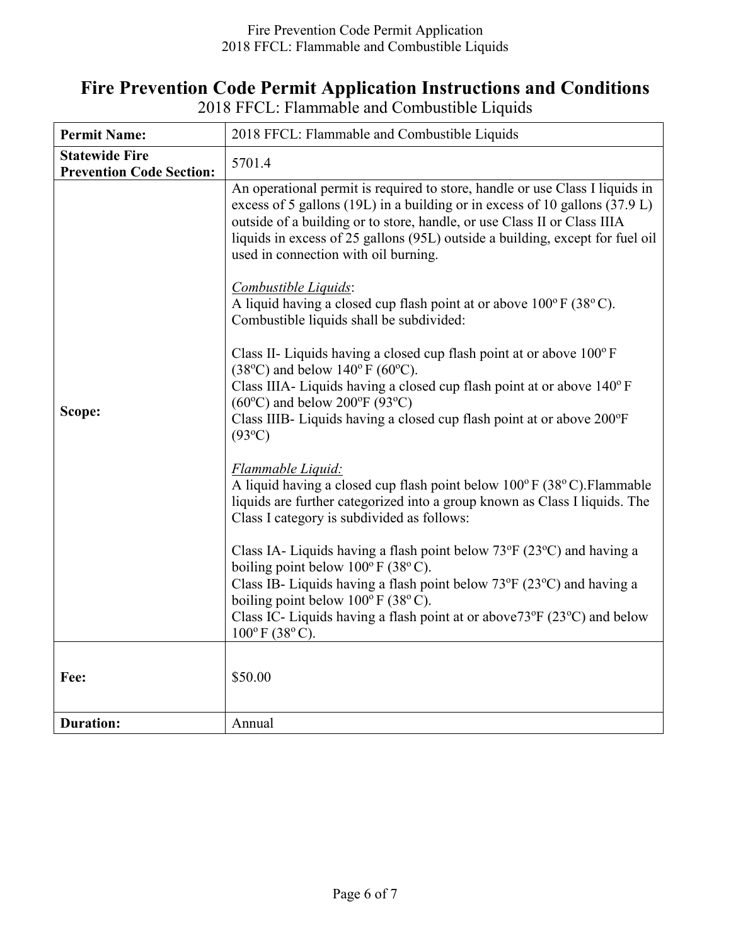## **Fire Prevention Code Permit Application Instructions and Conditions**

| <b>Permit Name:</b>                                      | 2018 FFCL: Flammable and Combustible Liquids                                                                                                                                                                                                                                                                                                                     |  |  |
|----------------------------------------------------------|------------------------------------------------------------------------------------------------------------------------------------------------------------------------------------------------------------------------------------------------------------------------------------------------------------------------------------------------------------------|--|--|
| <b>Statewide Fire</b><br><b>Prevention Code Section:</b> | 5701.4                                                                                                                                                                                                                                                                                                                                                           |  |  |
|                                                          | An operational permit is required to store, handle or use Class I liquids in<br>excess of 5 gallons (19L) in a building or in excess of 10 gallons (37.9 L)<br>outside of a building or to store, handle, or use Class II or Class IIIA<br>liquids in excess of 25 gallons (95L) outside a building, except for fuel oil<br>used in connection with oil burning. |  |  |
|                                                          | Combustible Liquids:<br>A liquid having a closed cup flash point at or above $100^{\circ}$ F (38 $^{\circ}$ C).<br>Combustible liquids shall be subdivided:                                                                                                                                                                                                      |  |  |
|                                                          | Class II- Liquids having a closed cup flash point at or above $100^{\circ}$ F<br>$(38^{\circ}C)$ and below $140^{\circ}F(60^{\circ}C)$ .                                                                                                                                                                                                                         |  |  |
|                                                          | Class IIIA- Liquids having a closed cup flash point at or above 140°F<br>$(60^{\circ}C)$ and below 200°F (93°C)                                                                                                                                                                                                                                                  |  |  |
| Scope:                                                   | Class IIIB- Liquids having a closed cup flash point at or above 200°F<br>$(93^{\circ}C)$                                                                                                                                                                                                                                                                         |  |  |
|                                                          | Flammable Liquid:<br>A liquid having a closed cup flash point below 100°F (38°C). Flammable<br>liquids are further categorized into a group known as Class I liquids. The<br>Class I category is subdivided as follows:                                                                                                                                          |  |  |
|                                                          | Class IA- Liquids having a flash point below $73^{\circ}F(23^{\circ}C)$ and having a                                                                                                                                                                                                                                                                             |  |  |
|                                                          | boiling point below $100^{\circ}$ F (38 $^{\circ}$ C).<br>Class IB- Liquids having a flash point below 73°F (23°C) and having a<br>boiling point below $100^{\circ}$ F (38°C).                                                                                                                                                                                   |  |  |
|                                                          | Class IC- Liquids having a flash point at or above $73^{\circ}F(23^{\circ}C)$ and below<br>$100^{\circ}$ F (38 $^{\circ}$ C).                                                                                                                                                                                                                                    |  |  |
| Fee:                                                     | \$50.00                                                                                                                                                                                                                                                                                                                                                          |  |  |
|                                                          |                                                                                                                                                                                                                                                                                                                                                                  |  |  |
| <b>Duration:</b>                                         | Annual                                                                                                                                                                                                                                                                                                                                                           |  |  |

2018 FFCL: Flammable and Combustible Liquids